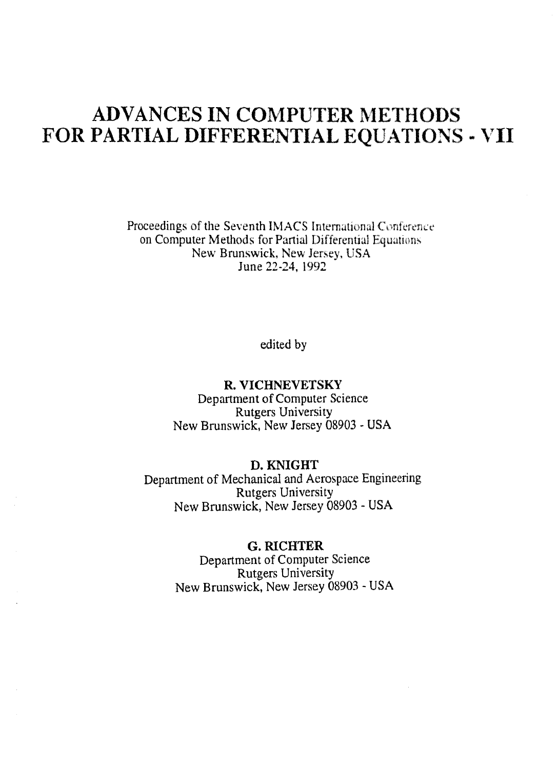# ADVANCES IN COMPUTER METHODS FOR PARTIAL DIFFERENTIAL EQUATIONS - VII

Proceedings of the Seventh IMACS International Conference on Computer Methods for Partial Differential Equations New Brunswick, New Jersey, USA June 22-24, 1992

edited by

#### R. VICHNEVETSKY

Department of Computer Science Rutgers University New Brunswick, New Jersey 08903 - USA

### D. KNIGHT

Department of Mechanical and Aerospace Engineering Rutgers University New Brunswick, New Jersey <sup>08903</sup> - USA

#### G. RICHTER

Department of Computer Science Rutgers University New Brunswick, New Jersey 08903 - USA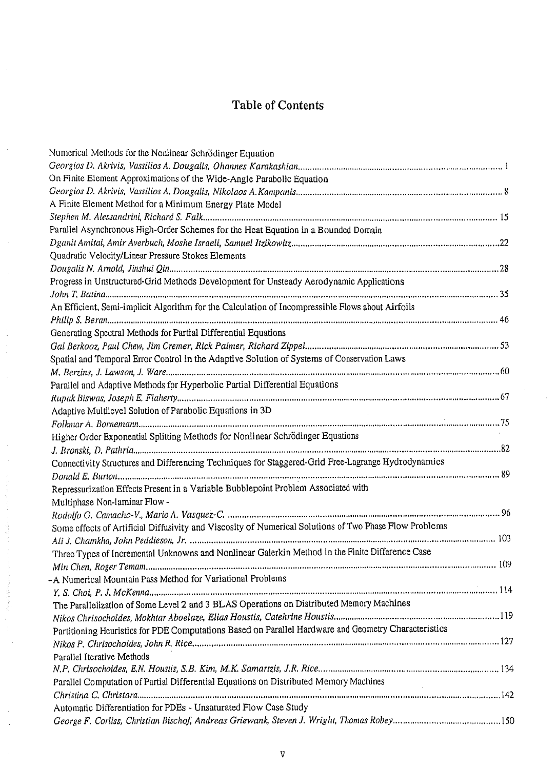## Table of Contents

| Numerical Methods for the Nonlinear Schrödinger Equation                                                |  |
|---------------------------------------------------------------------------------------------------------|--|
|                                                                                                         |  |
| On Finite Element Approximations of the Wide-Angle Parabolic Equation                                   |  |
|                                                                                                         |  |
| A Finite Element Method for a Minimum Energy Plate Model                                                |  |
|                                                                                                         |  |
| Parallel Asynchronous High-Order Schemes for the Heat Equation in a Bounded Domain                      |  |
|                                                                                                         |  |
| Quadratic Velocity/Linear Pressure Stokes Elements                                                      |  |
|                                                                                                         |  |
| Progress in Unstructured-Grid Methods Development for Unsteady Aerodynamic Applications                 |  |
|                                                                                                         |  |
| An Efficient, Semi-implicit Algorithm for the Calculation of Incompressible Flows about Airfoils        |  |
|                                                                                                         |  |
| Generating Spectral Methods for Partial Differential Equations                                          |  |
|                                                                                                         |  |
| Spatial and Temporal Error Control in the Adaptive Solution of Systems of Conservation Laws             |  |
|                                                                                                         |  |
| Parallel and Adaptive Methods for Hyperbolic Partial Differential Equations                             |  |
|                                                                                                         |  |
| Adaptive Multilevel Solution of Parabolic Equations in 3D                                               |  |
|                                                                                                         |  |
| Higher Order Exponential Splitting Methods for Nonlinear Schrödinger Equations                          |  |
|                                                                                                         |  |
| Connectivity Structures and Differencing Techniques for Staggered-Grid Free-Lagrange Hydrodynamics      |  |
|                                                                                                         |  |
| Repressurization Effects Present in a Variable Bubblepoint Problem Associated with                      |  |
| Multiphase Non-laminar Flow -                                                                           |  |
|                                                                                                         |  |
| Some effects of Artificial Diffusivity and Viscosity of Numerical Solutions of Two Phase Flow Problems  |  |
|                                                                                                         |  |
| Three Types of Incremental Unknowns and Nonlinear Galerkin Method in the Finite Difference Case         |  |
|                                                                                                         |  |
| -A Numerical Mountain Pass Method for Variational Problems                                              |  |
|                                                                                                         |  |
| The Parallelization of Some Level 2 and 3 BLAS Operations on Distributed Memory Machines                |  |
|                                                                                                         |  |
| Partitioning Heuristics for PDE Computations Based on Parallel Hardware and Geometry Characteristics    |  |
|                                                                                                         |  |
| Parallel Iterative Methods                                                                              |  |
|                                                                                                         |  |
| Parallel Computation of Partial Differential Equations on Distributed Memory Machines<br>$\sim 10^{-1}$ |  |
|                                                                                                         |  |
| Automatic Differentiation for PDEs - Unsaturated Flow Case Study                                        |  |
|                                                                                                         |  |

 $\frac{3}{2}$ 

Si alé J.

**Separate School**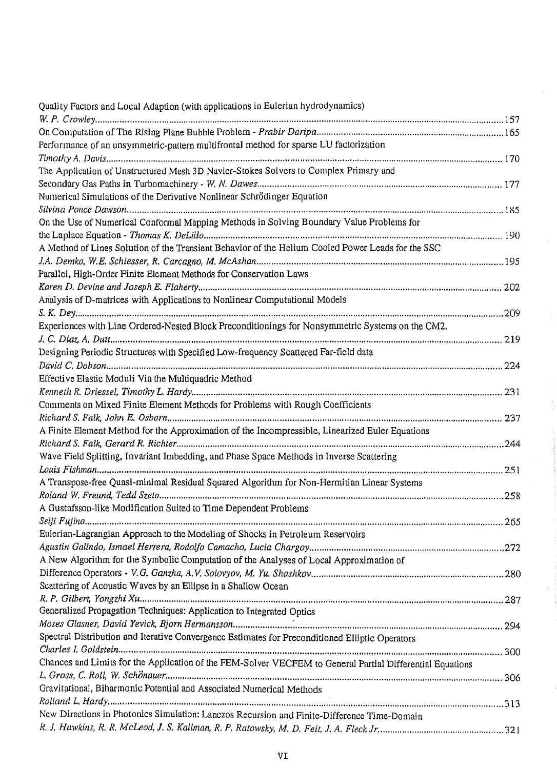| Quality Factors and Local Adaption (with applications in Eulerian hydrodynamics)                          |  |
|-----------------------------------------------------------------------------------------------------------|--|
|                                                                                                           |  |
|                                                                                                           |  |
| Performance of an unsymmetric-pattern multifrontal method for sparse LU factorization                     |  |
|                                                                                                           |  |
| The Application of Unstructured Mesh 3D Navier-Stokes Solvers to Complex Primary and                      |  |
|                                                                                                           |  |
| Numerical Simulations of the Derivative Nonlinear Schrödinger Equation                                    |  |
|                                                                                                           |  |
| On the Use of Numerical Conformal Mapping Methods in Solving Boundary Value Problems for                  |  |
|                                                                                                           |  |
| A Method of Lines Solution of the Transient Behavior of the Helium Cooled Power Leads for the SSC         |  |
|                                                                                                           |  |
| Parallel, High-Order Finite Element Methods for Conservation Laws                                         |  |
|                                                                                                           |  |
| Analysis of D-matrices with Applications to Nonlinear Computational Models                                |  |
|                                                                                                           |  |
| Experiences with Line Ordered-Nested Block Preconditionings for Nonsymmetric Systems on the CM2.          |  |
|                                                                                                           |  |
| Designing Periodic Structures with Specified Low-frequency Scattered Far-field data                       |  |
|                                                                                                           |  |
| Effective Elastic Moduli Via the Multiquadric Method                                                      |  |
|                                                                                                           |  |
| Comments on Mixed Finite Element Methods for Problems with Rough Coefficients                             |  |
|                                                                                                           |  |
| A Finite Element Method for the Approximation of the Incompressible, Linearized Euler Equations           |  |
|                                                                                                           |  |
| Wave Field Splitting, Invariant Imbedding, and Phase Space Methods in Inverse Scattering                  |  |
|                                                                                                           |  |
| A Transpose-free Quasi-minimal Residual Squared Algorithm for Non-Hermitian Linear Systems                |  |
|                                                                                                           |  |
| A Gustafsson-like Modification Suited to Time Dependent Problems                                          |  |
|                                                                                                           |  |
| Eulerian-Lagrangian Approach to the Modeling of Shocks in Petroleum Reservoirs                            |  |
|                                                                                                           |  |
| A New Algorithm for the Symbolic Computation of the Analyses of Local Approximation of                    |  |
|                                                                                                           |  |
| Scattering of Acoustic Waves by an Ellipse in a Shallow Ocean                                             |  |
|                                                                                                           |  |
| Generalized Propagation Techniques: Application to Integrated Optics                                      |  |
|                                                                                                           |  |
| Spectral Distribution and Iterative Convergence Estimates for Preconditioned Elliptic Operators           |  |
|                                                                                                           |  |
| Chances and Limits for the Application of the FEM-Solver VECFEM to General Partial Differential Equations |  |
|                                                                                                           |  |
| Gravitational, Biharmonic Potential and Associated Numerical Methods                                      |  |
|                                                                                                           |  |
| New Directions in Photonics Simulation: Lanczos Recursion and Finite-Difference Time-Domain               |  |
|                                                                                                           |  |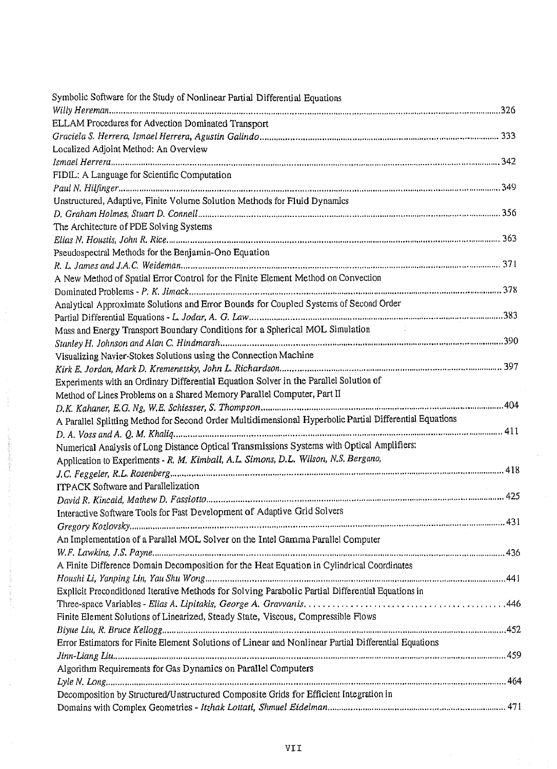| Symbolic Software for the Study of Nonlinear Partial Differential Equations                             |  |
|---------------------------------------------------------------------------------------------------------|--|
|                                                                                                         |  |
| ELLAM Procedures for Advection Dominated Transport                                                      |  |
|                                                                                                         |  |
| Localized Adjoint Method: An Overview                                                                   |  |
|                                                                                                         |  |
| FIDIL: A Language for Scientific Computation                                                            |  |
|                                                                                                         |  |
| Unstructured, Adaptive, Finite Volume Solution Methods for Fluid Dynamics                               |  |
|                                                                                                         |  |
| The Architecture of PDE Solving Systems                                                                 |  |
|                                                                                                         |  |
| Pseudospectral Methods for the Benjamin-Ono Equation                                                    |  |
|                                                                                                         |  |
| A New Method of Spatial Error Control for the Finite Element Method on Convection                       |  |
|                                                                                                         |  |
| Analytical Approximate Solutions and Error Bounds for Coupled Systems of Second Order                   |  |
|                                                                                                         |  |
| Mass and Energy Transport Boundary Conditions for a Spherical MOL Simulation                            |  |
|                                                                                                         |  |
| Visualizing Navier-Stokes Solutions using the Connection Machine                                        |  |
|                                                                                                         |  |
| Experiments with an Ordinary Differential Equation Solver in the Parallel Solution of                   |  |
| Method of Lines Problems on a Shared Memory Parallel Computer, Part II                                  |  |
|                                                                                                         |  |
| A Parallel Splitting Method for Second Order Multidimensional Hyperbolic Partial Differential Equations |  |
|                                                                                                         |  |
| Numerical Analysis of Long Distance Optical Transmissions Systems with Optical Amplifiers:              |  |
| Application to Experiments - R. M. Kimball, A.L. Simons, D.L. Wilson, N.S. Bergano,                     |  |
|                                                                                                         |  |
| ITPACK Software and Parallelization                                                                     |  |
|                                                                                                         |  |
| Interactive Software Tools for Fast Development of Adaptive Grid Solvers                                |  |
|                                                                                                         |  |
| An Implementation of a Parallel MOL Solver on the Intel Gamma Parallel Computer                         |  |
|                                                                                                         |  |
| A Finite Difference Domain Decomposition for the Heat Equation in Cylindrical Coordinates               |  |
|                                                                                                         |  |
| Explicit Preconditioned Iterative Methods for Solving Parabolic Partial Differential Equations in       |  |
|                                                                                                         |  |
| Finite Element Solutions of Linearized, Steady State, Viscous, Compressible Flows                       |  |
|                                                                                                         |  |
| Error Estimators for Finite Element Solutions of Linear and Nonlinear Partial Differential Equations    |  |
|                                                                                                         |  |
| Algorithm Requirements for Gas Dynamics on Parallel Computers                                           |  |
|                                                                                                         |  |
| Decomposition by Structured/Unstructured Composite Grids for Efficient Integration in                   |  |
|                                                                                                         |  |
|                                                                                                         |  |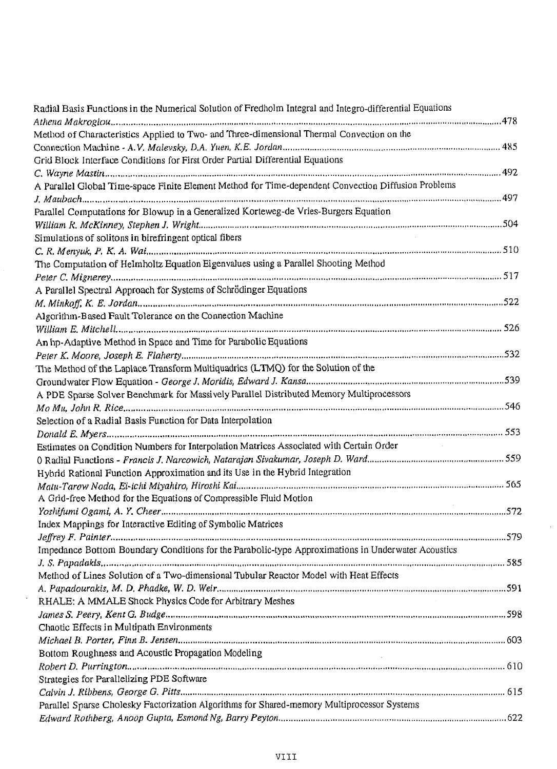| Radial Basis Functions in the Numerical Solution of Fredholm Integral and Integro-differential Equations |  |
|----------------------------------------------------------------------------------------------------------|--|
|                                                                                                          |  |
| Method of Characteristics Applied to Two- and Three-dimensional Thermal Convection on the                |  |
|                                                                                                          |  |
| Grid Block Interface Conditions for First Order Partial Differential Equations                           |  |
|                                                                                                          |  |
| A Parallel Global Time-space Finite Element Method for Time-dependent Convection Diffusion Problems      |  |
|                                                                                                          |  |
| Parallel Computations for Blowup in a Generalized Korteweg-de Vries-Burgers Equation                     |  |
|                                                                                                          |  |
| Simulations of solitons in birefringent optical fibers                                                   |  |
|                                                                                                          |  |
| The Computation of Helmholtz Equation Eigenvalues using a Parallel Shooting Method                       |  |
|                                                                                                          |  |
| A Parallel Spectral Approach for Systems of Schrödinger Equations                                        |  |
|                                                                                                          |  |
| Algorithm-Based Fault Tolerance on the Connection Machine                                                |  |
|                                                                                                          |  |
| An hp-Adaptive Method in Space and Time for Parabolic Equations                                          |  |
|                                                                                                          |  |
| The Method of the Laplace Transform Multiquadrics (LTMQ) for the Solution of the                         |  |
|                                                                                                          |  |
| A PDE Sparse Solver Benchmark for Massively Parallel Distributed Memory Multiprocessors                  |  |
|                                                                                                          |  |
| Selection of a Radial Basis Function for Data Interpolation                                              |  |
|                                                                                                          |  |
| Estimates on Condition Numbers for Interpolation Matrices Associated with Certain Order                  |  |
|                                                                                                          |  |
| Hybrid Rational Function Approximation and its Use in the Hybrid Integration                             |  |
|                                                                                                          |  |
| A Grid-free Method for the Equations of Compressible Fluid Motion                                        |  |
|                                                                                                          |  |
|                                                                                                          |  |
| Index Mappings for Interactive Editing of Symbolic Matrices                                              |  |
|                                                                                                          |  |
| Impedance Bottom Boundary Conditions for the Parabolic-type Approximations in Underwater Acoustics       |  |
| Method of Lines Solution of a Two-dimensional Tubular Reactor Model with Heat Effects                    |  |
|                                                                                                          |  |
| RHALE: A MMALE Shock Physics Code for Arbitrary Meshes                                                   |  |
|                                                                                                          |  |
|                                                                                                          |  |
| Chaotic Effects in Multipath Environments                                                                |  |
|                                                                                                          |  |
| Bottom Roughness and Acoustic Propagation Modeling<br>na a                                               |  |
|                                                                                                          |  |
| Strategies for Parallelizing PDE Software                                                                |  |
|                                                                                                          |  |
| Parallel Sparse Cholesky Factorization Algorithms for Shared-memory Multiprocessor Systems               |  |
|                                                                                                          |  |

 $\mathcal{L}$ 

 $\sim$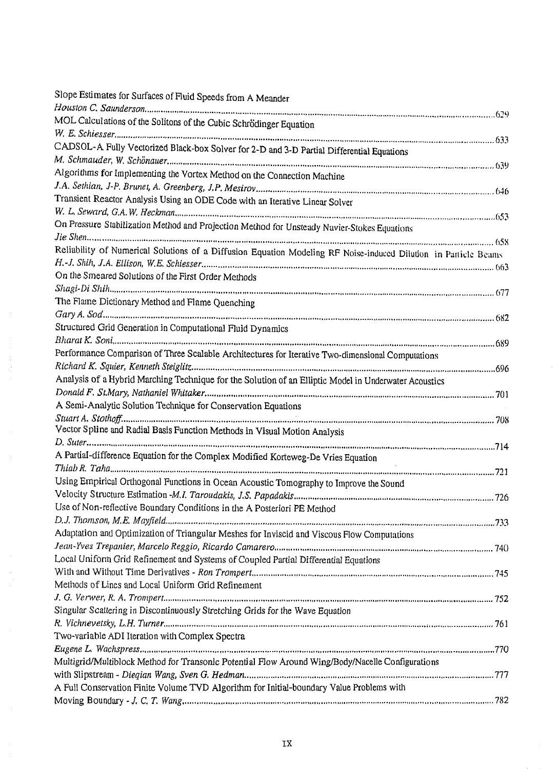| Slope Estimates for Surfaces of Fluid Speeds from A Meander                                                     |  |
|-----------------------------------------------------------------------------------------------------------------|--|
|                                                                                                                 |  |
| MOL Calculations of the Solitons of the Cubic Schrödinger Equation                                              |  |
|                                                                                                                 |  |
| CADSOL-A Fully Vectorized Black-box Solver for 2-D and 3-D Partial Differential Equations                       |  |
|                                                                                                                 |  |
| Algorithms for Implementing the Vortex Method on the Connection Machine                                         |  |
|                                                                                                                 |  |
| Transient Reactor Analysis Using an ODE Code with an Iterative Linear Solver                                    |  |
|                                                                                                                 |  |
| On Pressure Stabilization Method and Projection Method for Unsteady Navier-Stokes Equations                     |  |
|                                                                                                                 |  |
| Reliability of Numerical Solutions of a Diffusion Equation Modeling RF Noise-induced Dilution in Particle Beams |  |
|                                                                                                                 |  |
| On the Smeared Solutions of the First Order Methods                                                             |  |
|                                                                                                                 |  |
| The Flame Dictionary Method and Flame Quenching                                                                 |  |
|                                                                                                                 |  |
| Structured Grid Generation in Computational Fluid Dynamics                                                      |  |
|                                                                                                                 |  |
|                                                                                                                 |  |
| Performance Comparison of Three Scalable Architectures for Iterative Two-dimensional Computations               |  |
|                                                                                                                 |  |
| Analysis of a Hybrid Marching Technique for the Solution of an Elliptic Model in Underwater Acoustics           |  |
|                                                                                                                 |  |
| A Semi-Analytic Solution Technique for Conservation Equations                                                   |  |
|                                                                                                                 |  |
| Vector Spline and Radial Basis Function Methods in Visual Motion Analysis                                       |  |
|                                                                                                                 |  |
| A Partial-difference Equation for the Complex Modified Korteweg-De Vries Equation<br>$\mathbb{R}^2$             |  |
|                                                                                                                 |  |
| Using Empirical Orthogonal Functions in Ocean Acoustic Tomography to Improve the Sound                          |  |
|                                                                                                                 |  |
| Use of Non-reflective Boundary Conditions in the A Posteriori PE Method                                         |  |
|                                                                                                                 |  |
| Adaptation and Optimization of Triangular Meshes for Inviscid and Viscous Flow Computations                     |  |
|                                                                                                                 |  |
| Local Uniform Grid Refinement and Systems of Coupled Partial Differential Equations                             |  |
|                                                                                                                 |  |
| Methods of Lines and Local Uniform Grid Refinement                                                              |  |
|                                                                                                                 |  |
| Singular Scattering in Discontinuously Stretching Grids for the Wave Equation                                   |  |
|                                                                                                                 |  |
| Two-variable ADI Iteration with Complex Spectra                                                                 |  |
|                                                                                                                 |  |
| Multigrid/Multiblock Method for Transonic Potential Flow Around Wing/Body/Nacelle Configurations                |  |
|                                                                                                                 |  |
| A Full Conservation Finite Volume TVD Algorithm for Initial-boundary Value Problems with                        |  |
|                                                                                                                 |  |

 $\frac{1}{2}$